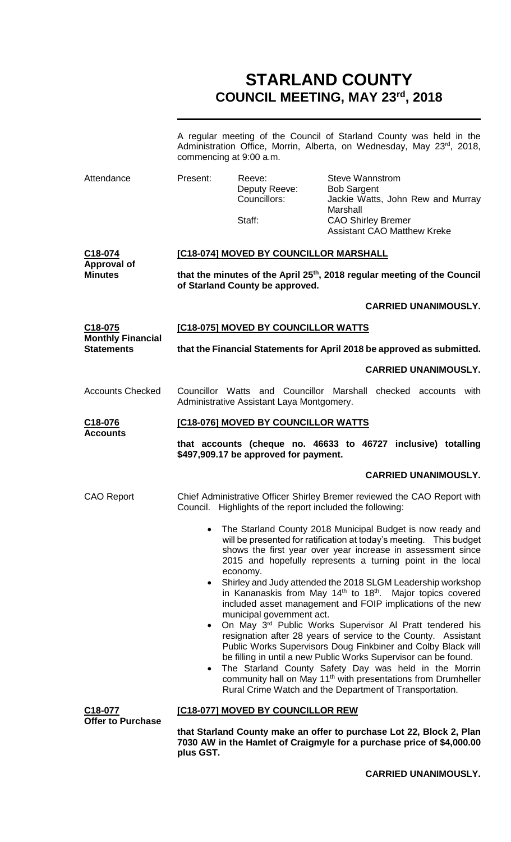# **STARLAND COUNTY COUNCIL MEETING, MAY 23rd, 2018**

|                                                  | commencing at 9:00 a.m.                                                                                                                                                                                                                                                                                                                                                                                                                                                                              |                                                           | A regular meeting of the Council of Starland County was held in the<br>Administration Office, Morrin, Alberta, on Wednesday, May 23rd, 2018,                                                                                                                  |
|--------------------------------------------------|------------------------------------------------------------------------------------------------------------------------------------------------------------------------------------------------------------------------------------------------------------------------------------------------------------------------------------------------------------------------------------------------------------------------------------------------------------------------------------------------------|-----------------------------------------------------------|---------------------------------------------------------------------------------------------------------------------------------------------------------------------------------------------------------------------------------------------------------------|
| Attendance                                       | Present:                                                                                                                                                                                                                                                                                                                                                                                                                                                                                             | Reeve:<br>Deputy Reeve:<br>Councillors:                   | <b>Steve Wannstrom</b><br><b>Bob Sargent</b><br>Jackie Watts, John Rew and Murray<br>Marshall                                                                                                                                                                 |
|                                                  |                                                                                                                                                                                                                                                                                                                                                                                                                                                                                                      | Staff:                                                    | <b>CAO Shirley Bremer</b><br><b>Assistant CAO Matthew Kreke</b>                                                                                                                                                                                               |
| C18-074<br><b>Approval of</b>                    |                                                                                                                                                                                                                                                                                                                                                                                                                                                                                                      | [C18-074] MOVED BY COUNCILLOR MARSHALL                    |                                                                                                                                                                                                                                                               |
| <b>Minutes</b>                                   |                                                                                                                                                                                                                                                                                                                                                                                                                                                                                                      | of Starland County be approved.                           | that the minutes of the April 25 <sup>th</sup> , 2018 regular meeting of the Council                                                                                                                                                                          |
|                                                  |                                                                                                                                                                                                                                                                                                                                                                                                                                                                                                      |                                                           | <b>CARRIED UNANIMOUSLY.</b>                                                                                                                                                                                                                                   |
| C <sub>18</sub> -075<br><b>Monthly Financial</b> |                                                                                                                                                                                                                                                                                                                                                                                                                                                                                                      | [C18-075] MOVED BY COUNCILLOR WATTS                       |                                                                                                                                                                                                                                                               |
| <b>Statements</b>                                |                                                                                                                                                                                                                                                                                                                                                                                                                                                                                                      |                                                           | that the Financial Statements for April 2018 be approved as submitted.                                                                                                                                                                                        |
|                                                  |                                                                                                                                                                                                                                                                                                                                                                                                                                                                                                      |                                                           | <b>CARRIED UNANIMOUSLY.</b>                                                                                                                                                                                                                                   |
| <b>Accounts Checked</b>                          |                                                                                                                                                                                                                                                                                                                                                                                                                                                                                                      | Administrative Assistant Laya Montgomery.                 | Councillor Watts and Councillor Marshall checked accounts with                                                                                                                                                                                                |
| C <sub>18</sub> -076<br><b>Accounts</b>          |                                                                                                                                                                                                                                                                                                                                                                                                                                                                                                      | [C18-076] MOVED BY COUNCILLOR WATTS                       |                                                                                                                                                                                                                                                               |
|                                                  |                                                                                                                                                                                                                                                                                                                                                                                                                                                                                                      | \$497,909.17 be approved for payment.                     | that accounts (cheque no. 46633 to 46727 inclusive) totalling                                                                                                                                                                                                 |
|                                                  |                                                                                                                                                                                                                                                                                                                                                                                                                                                                                                      |                                                           | <b>CARRIED UNANIMOUSLY.</b>                                                                                                                                                                                                                                   |
| <b>CAO Report</b>                                |                                                                                                                                                                                                                                                                                                                                                                                                                                                                                                      | Council. Highlights of the report included the following: | Chief Administrative Officer Shirley Bremer reviewed the CAO Report with                                                                                                                                                                                      |
|                                                  | $\bullet$                                                                                                                                                                                                                                                                                                                                                                                                                                                                                            | economy.                                                  | The Starland County 2018 Municipal Budget is now ready and<br>will be presented for ratification at today's meeting. This budget<br>shows the first year over year increase in assessment since<br>2015 and hopefully represents a turning point in the local |
|                                                  | $\bullet$                                                                                                                                                                                                                                                                                                                                                                                                                                                                                            | municipal government act.                                 | Shirley and Judy attended the 2018 SLGM Leadership workshop<br>in Kananaskis from May 14th to 18th. Major topics covered<br>included asset management and FOIP implications of the new                                                                        |
|                                                  | On May 3 <sup>rd</sup> Public Works Supervisor Al Pratt tendered his<br>$\bullet$<br>resignation after 28 years of service to the County. Assistant<br>Public Works Supervisors Doug Finkbiner and Colby Black will<br>be filling in until a new Public Works Supervisor can be found.<br>The Starland County Safety Day was held in the Morrin<br>$\bullet$<br>community hall on May 11 <sup>th</sup> with presentations from Drumheller<br>Rural Crime Watch and the Department of Transportation. |                                                           |                                                                                                                                                                                                                                                               |
| C18-077                                          |                                                                                                                                                                                                                                                                                                                                                                                                                                                                                                      | [C18-077] MOVED BY COUNCILLOR REW                         |                                                                                                                                                                                                                                                               |
| <b>Offer to Purchase</b>                         |                                                                                                                                                                                                                                                                                                                                                                                                                                                                                                      |                                                           |                                                                                                                                                                                                                                                               |

**CARRIED UNANIMOUSLY.**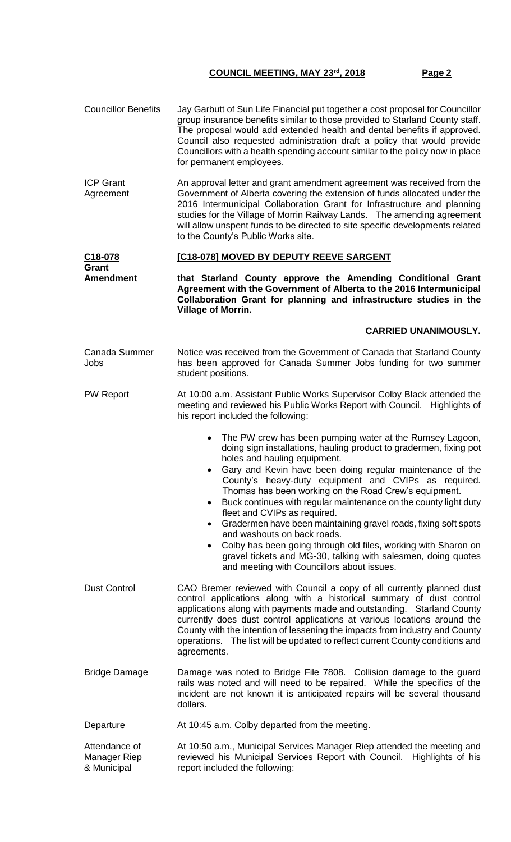| <b>Councillor Benefits</b>                   | Jay Garbutt of Sun Life Financial put together a cost proposal for Councillor<br>group insurance benefits similar to those provided to Starland County staff.<br>The proposal would add extended health and dental benefits if approved.<br>Council also requested administration draft a policy that would provide<br>Councillors with a health spending account similar to the policy now in place<br>for permanent employees.                                                                                                                                                                                                                                                                                                                                                |  |
|----------------------------------------------|---------------------------------------------------------------------------------------------------------------------------------------------------------------------------------------------------------------------------------------------------------------------------------------------------------------------------------------------------------------------------------------------------------------------------------------------------------------------------------------------------------------------------------------------------------------------------------------------------------------------------------------------------------------------------------------------------------------------------------------------------------------------------------|--|
| <b>ICP Grant</b><br>Agreement                | An approval letter and grant amendment agreement was received from the<br>Government of Alberta covering the extension of funds allocated under the<br>2016 Intermunicipal Collaboration Grant for Infrastructure and planning<br>studies for the Village of Morrin Railway Lands.  The amending agreement<br>will allow unspent funds to be directed to site specific developments related<br>to the County's Public Works site.                                                                                                                                                                                                                                                                                                                                               |  |
| C18-078                                      | [C18-078] MOVED BY DEPUTY REEVE SARGENT                                                                                                                                                                                                                                                                                                                                                                                                                                                                                                                                                                                                                                                                                                                                         |  |
| Grant<br><b>Amendment</b>                    | that Starland County approve the Amending Conditional Grant<br>Agreement with the Government of Alberta to the 2016 Intermunicipal<br>Collaboration Grant for planning and infrastructure studies in the<br><b>Village of Morrin.</b>                                                                                                                                                                                                                                                                                                                                                                                                                                                                                                                                           |  |
|                                              | <b>CARRIED UNANIMOUSLY.</b>                                                                                                                                                                                                                                                                                                                                                                                                                                                                                                                                                                                                                                                                                                                                                     |  |
| Canada Summer<br>Jobs                        | Notice was received from the Government of Canada that Starland County<br>has been approved for Canada Summer Jobs funding for two summer<br>student positions.                                                                                                                                                                                                                                                                                                                                                                                                                                                                                                                                                                                                                 |  |
| <b>PW Report</b>                             | At 10:00 a.m. Assistant Public Works Supervisor Colby Black attended the<br>meeting and reviewed his Public Works Report with Council. Highlights of<br>his report included the following:                                                                                                                                                                                                                                                                                                                                                                                                                                                                                                                                                                                      |  |
|                                              | The PW crew has been pumping water at the Rumsey Lagoon,<br>$\bullet$<br>doing sign installations, hauling product to gradermen, fixing pot<br>holes and hauling equipment.<br>Gary and Kevin have been doing regular maintenance of the<br>County's heavy-duty equipment and CVIPs as required.<br>Thomas has been working on the Road Crew's equipment.<br>Buck continues with regular maintenance on the county light duty<br>٠<br>fleet and CVIPs as required.<br>Gradermen have been maintaining gravel roads, fixing soft spots<br>$\bullet$<br>and washouts on back roads.<br>Colby has been going through old files, working with Sharon on<br>$\bullet$<br>gravel tickets and MG-30, talking with salesmen, doing quotes<br>and meeting with Councillors about issues. |  |
| <b>Dust Control</b>                          | CAO Bremer reviewed with Council a copy of all currently planned dust<br>control applications along with a historical summary of dust control<br>applications along with payments made and outstanding. Starland County<br>currently does dust control applications at various locations around the<br>County with the intention of lessening the impacts from industry and County<br>operations. The list will be updated to reflect current County conditions and<br>agreements.                                                                                                                                                                                                                                                                                              |  |
| <b>Bridge Damage</b>                         | Damage was noted to Bridge File 7808. Collision damage to the guard<br>rails was noted and will need to be repaired. While the specifics of the<br>incident are not known it is anticipated repairs will be several thousand<br>dollars.                                                                                                                                                                                                                                                                                                                                                                                                                                                                                                                                        |  |
| Departure                                    | At 10:45 a.m. Colby departed from the meeting.                                                                                                                                                                                                                                                                                                                                                                                                                                                                                                                                                                                                                                                                                                                                  |  |
| Attendance of<br>Manager Riep<br>& Municipal | At 10:50 a.m., Municipal Services Manager Riep attended the meeting and<br>reviewed his Municipal Services Report with Council.<br>Highlights of his<br>report included the following:                                                                                                                                                                                                                                                                                                                                                                                                                                                                                                                                                                                          |  |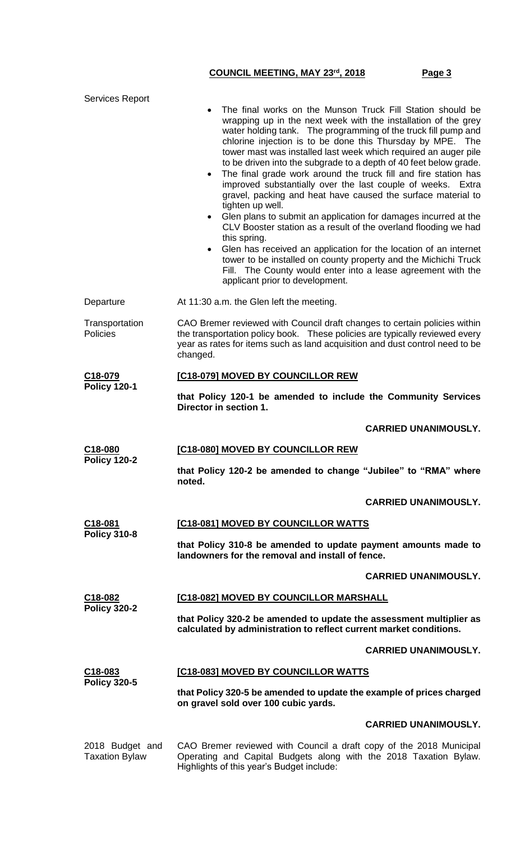| <b>Services Report</b>                   | The final works on the Munson Truck Fill Station should be<br>wrapping up in the next week with the installation of the grey<br>water holding tank. The programming of the truck fill pump and<br>chlorine injection is to be done this Thursday by MPE. The<br>tower mast was installed last week which required an auger pile<br>to be driven into the subgrade to a depth of 40 feet below grade.<br>The final grade work around the truck fill and fire station has<br>$\bullet$<br>improved substantially over the last couple of weeks. Extra<br>gravel, packing and heat have caused the surface material to<br>tighten up well.<br>Glen plans to submit an application for damages incurred at the<br>$\bullet$<br>CLV Booster station as a result of the overland flooding we had<br>this spring.<br>Glen has received an application for the location of an internet<br>tower to be installed on county property and the Michichi Truck<br>Fill. The County would enter into a lease agreement with the<br>applicant prior to development. |  |
|------------------------------------------|------------------------------------------------------------------------------------------------------------------------------------------------------------------------------------------------------------------------------------------------------------------------------------------------------------------------------------------------------------------------------------------------------------------------------------------------------------------------------------------------------------------------------------------------------------------------------------------------------------------------------------------------------------------------------------------------------------------------------------------------------------------------------------------------------------------------------------------------------------------------------------------------------------------------------------------------------------------------------------------------------------------------------------------------------|--|
| Departure                                | At 11:30 a.m. the Glen left the meeting.                                                                                                                                                                                                                                                                                                                                                                                                                                                                                                                                                                                                                                                                                                                                                                                                                                                                                                                                                                                                             |  |
| Transportation<br>Policies               | CAO Bremer reviewed with Council draft changes to certain policies within<br>the transportation policy book. These policies are typically reviewed every<br>year as rates for items such as land acquisition and dust control need to be<br>changed.                                                                                                                                                                                                                                                                                                                                                                                                                                                                                                                                                                                                                                                                                                                                                                                                 |  |
| C18-079                                  | [C18-079] MOVED BY COUNCILLOR REW                                                                                                                                                                                                                                                                                                                                                                                                                                                                                                                                                                                                                                                                                                                                                                                                                                                                                                                                                                                                                    |  |
| <b>Policy 120-1</b>                      | that Policy 120-1 be amended to include the Community Services<br>Director in section 1.                                                                                                                                                                                                                                                                                                                                                                                                                                                                                                                                                                                                                                                                                                                                                                                                                                                                                                                                                             |  |
|                                          | <b>CARRIED UNANIMOUSLY.</b>                                                                                                                                                                                                                                                                                                                                                                                                                                                                                                                                                                                                                                                                                                                                                                                                                                                                                                                                                                                                                          |  |
| C18-080                                  | [C18-080] MOVED BY COUNCILLOR REW                                                                                                                                                                                                                                                                                                                                                                                                                                                                                                                                                                                                                                                                                                                                                                                                                                                                                                                                                                                                                    |  |
| <b>Policy 120-2</b>                      | that Policy 120-2 be amended to change "Jubilee" to "RMA" where<br>noted.                                                                                                                                                                                                                                                                                                                                                                                                                                                                                                                                                                                                                                                                                                                                                                                                                                                                                                                                                                            |  |
|                                          | <b>CARRIED UNANIMOUSLY.</b>                                                                                                                                                                                                                                                                                                                                                                                                                                                                                                                                                                                                                                                                                                                                                                                                                                                                                                                                                                                                                          |  |
| C18-081<br><b>Policy 310-8</b>           | [C18-081] MOVED BY COUNCILLOR WATTS                                                                                                                                                                                                                                                                                                                                                                                                                                                                                                                                                                                                                                                                                                                                                                                                                                                                                                                                                                                                                  |  |
|                                          | that Policy 310-8 be amended to update payment amounts made to<br>landowners for the removal and install of fence.                                                                                                                                                                                                                                                                                                                                                                                                                                                                                                                                                                                                                                                                                                                                                                                                                                                                                                                                   |  |
|                                          | <b>CARRIED UNANIMOUSLY.</b>                                                                                                                                                                                                                                                                                                                                                                                                                                                                                                                                                                                                                                                                                                                                                                                                                                                                                                                                                                                                                          |  |
| C18-082<br><b>Policy 320-2</b>           | [C18-082] MOVED BY COUNCILLOR MARSHALL                                                                                                                                                                                                                                                                                                                                                                                                                                                                                                                                                                                                                                                                                                                                                                                                                                                                                                                                                                                                               |  |
|                                          | that Policy 320-2 be amended to update the assessment multiplier as<br>calculated by administration to reflect current market conditions.                                                                                                                                                                                                                                                                                                                                                                                                                                                                                                                                                                                                                                                                                                                                                                                                                                                                                                            |  |
|                                          | <b>CARRIED UNANIMOUSLY.</b>                                                                                                                                                                                                                                                                                                                                                                                                                                                                                                                                                                                                                                                                                                                                                                                                                                                                                                                                                                                                                          |  |
| C <sub>18</sub> -083                     | [C18-083] MOVED BY COUNCILLOR WATTS                                                                                                                                                                                                                                                                                                                                                                                                                                                                                                                                                                                                                                                                                                                                                                                                                                                                                                                                                                                                                  |  |
| <b>Policy 320-5</b>                      | that Policy 320-5 be amended to update the example of prices charged<br>on gravel sold over 100 cubic yards.                                                                                                                                                                                                                                                                                                                                                                                                                                                                                                                                                                                                                                                                                                                                                                                                                                                                                                                                         |  |
|                                          | <b>CARRIED UNANIMOUSLY.</b>                                                                                                                                                                                                                                                                                                                                                                                                                                                                                                                                                                                                                                                                                                                                                                                                                                                                                                                                                                                                                          |  |
| 2018 Budget and<br><b>Taxation Bylaw</b> | CAO Bremer reviewed with Council a draft copy of the 2018 Municipal<br>Operating and Capital Budgets along with the 2018 Taxation Bylaw.<br>Highlights of this year's Budget include:                                                                                                                                                                                                                                                                                                                                                                                                                                                                                                                                                                                                                                                                                                                                                                                                                                                                |  |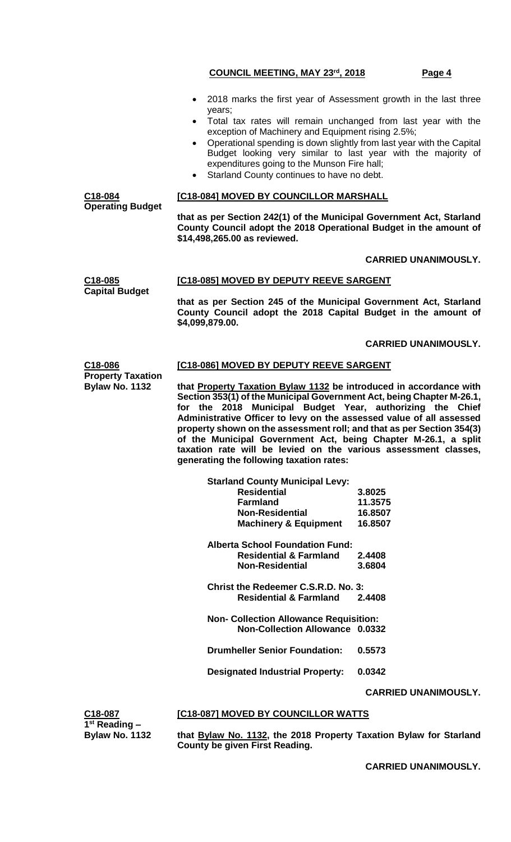- 2018 marks the first year of Assessment growth in the last three years;
- Total tax rates will remain unchanged from last year with the exception of Machinery and Equipment rising 2.5%;
- Operational spending is down slightly from last year with the Capital Budget looking very similar to last year with the majority of expenditures going to the Munson Fire hall;
- Starland County continues to have no debt.

### **[C18-084] MOVED BY COUNCILLOR MARSHALL**

**C18-084 Operating Budget**

**Capital Budget**

**that as per Section 242(1) of the Municipal Government Act, Starland County Council adopt the 2018 Operational Budget in the amount of \$14,498,265.00 as reviewed.**

### **CARRIED UNANIMOUSLY.**

#### **C18-085 [C18-085] MOVED BY DEPUTY REEVE SARGENT**

**that as per Section 245 of the Municipal Government Act, Starland County Council adopt the 2018 Capital Budget in the amount of \$4,099,879.00.**

### **CARRIED UNANIMOUSLY.**

#### **C18-086 [C18-086] MOVED BY DEPUTY REEVE SARGENT**

**Property Taxation Bylaw No. 1132 that Property Taxation Bylaw 1132 be introduced in accordance with Section 353(1) of the Municipal Government Act, being Chapter M-26.1, for the 2018 Municipal Budget Year, authorizing the Chief Administrative Officer to levy on the assessed value of all assessed property shown on the assessment roll; and that as per Section 354(3) of the Municipal Government Act, being Chapter M-26.1, a split taxation rate will be levied on the various assessment classes, generating the following taxation rates:**

| <b>Starland County Municipal Levy:</b>        |         |
|-----------------------------------------------|---------|
| <b>Residential</b>                            | 3.8025  |
| <b>Farmland</b>                               | 11.3575 |
| <b>Non-Residential</b>                        | 16.8507 |
| <b>Machinery &amp; Equipment</b>              | 16.8507 |
| Alberta School Foundation Fund:               |         |
| <b>Residential &amp; Farmland</b>             | 2.4408  |
| <b>Non-Residential</b>                        | 3.6804  |
| Christ the Redeemer C.S.R.D. No. 3:           |         |
| <b>Residential &amp; Farmland</b>             | 2.4408  |
| <b>Non- Collection Allowance Requisition:</b> |         |
| Non-Collection Allowance 0.0332               |         |
| <b>Drumheller Senior Foundation:</b>          | 0.5573  |
| <b>Designated Industrial Property:</b>        | 0.0342  |
|                                               |         |
|                                               | CARRII  |

**ED UNANIMOUSLY.** 

| C18-087               |
|-----------------------|
| $1st$ Reading $-$     |
| <b>Bylaw No. 1132</b> |

## **[C18-087] MOVED BY COUNCILLOR WATTS**

**that Bylaw No. 1132, the 2018 Property Taxation Bylaw for Starland County be given First Reading.**

**CARRIED UNANIMOUSLY.**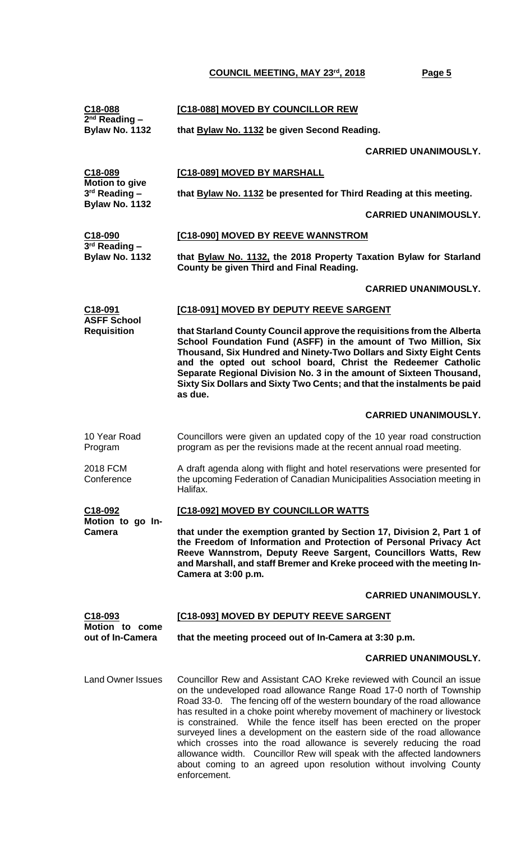| C18-088                                                             | [C18-088] MOVED BY COUNCILLOR REW                                                                                                                                                                                                                                                                                                                                                                                                                                                                                                                                                                         |                             |  |
|---------------------------------------------------------------------|-----------------------------------------------------------------------------------------------------------------------------------------------------------------------------------------------------------------------------------------------------------------------------------------------------------------------------------------------------------------------------------------------------------------------------------------------------------------------------------------------------------------------------------------------------------------------------------------------------------|-----------------------------|--|
| $2nd$ Reading –<br><b>Bylaw No. 1132</b>                            | that Bylaw No. 1132 be given Second Reading.                                                                                                                                                                                                                                                                                                                                                                                                                                                                                                                                                              |                             |  |
|                                                                     |                                                                                                                                                                                                                                                                                                                                                                                                                                                                                                                                                                                                           | <b>CARRIED UNANIMOUSLY.</b> |  |
| C <sub>18</sub> -089                                                | [C18-089] MOVED BY MARSHALL                                                                                                                                                                                                                                                                                                                                                                                                                                                                                                                                                                               |                             |  |
| <b>Motion to give</b><br>$3rd$ Reading $-$<br><b>Bylaw No. 1132</b> | that <b>Bylaw No. 1132</b> be presented for Third Reading at this meeting.                                                                                                                                                                                                                                                                                                                                                                                                                                                                                                                                |                             |  |
|                                                                     |                                                                                                                                                                                                                                                                                                                                                                                                                                                                                                                                                                                                           | <b>CARRIED UNANIMOUSLY.</b> |  |
| C18-090<br>$3rd$ Reading $-$                                        | [C18-090] MOVED BY REEVE WANNSTROM                                                                                                                                                                                                                                                                                                                                                                                                                                                                                                                                                                        |                             |  |
| Bylaw No. 1132                                                      | that Bylaw No. 1132, the 2018 Property Taxation Bylaw for Starland<br>County be given Third and Final Reading.                                                                                                                                                                                                                                                                                                                                                                                                                                                                                            |                             |  |
|                                                                     |                                                                                                                                                                                                                                                                                                                                                                                                                                                                                                                                                                                                           | <b>CARRIED UNANIMOUSLY.</b> |  |
| C18-091<br><b>ASFF School</b>                                       | [C18-091] MOVED BY DEPUTY REEVE SARGENT                                                                                                                                                                                                                                                                                                                                                                                                                                                                                                                                                                   |                             |  |
| <b>Requisition</b>                                                  | that Starland County Council approve the requisitions from the Alberta<br>School Foundation Fund (ASFF) in the amount of Two Million, Six<br>Thousand, Six Hundred and Ninety-Two Dollars and Sixty Eight Cents<br>and the opted out school board, Christ the Redeemer Catholic<br>Separate Regional Division No. 3 in the amount of Sixteen Thousand,<br>Sixty Six Dollars and Sixty Two Cents; and that the instalments be paid<br>as due.                                                                                                                                                              |                             |  |
|                                                                     |                                                                                                                                                                                                                                                                                                                                                                                                                                                                                                                                                                                                           | <b>CARRIED UNANIMOUSLY.</b> |  |
| 10 Year Road<br>Program                                             | Councillors were given an updated copy of the 10 year road construction<br>program as per the revisions made at the recent annual road meeting.                                                                                                                                                                                                                                                                                                                                                                                                                                                           |                             |  |
| 2018 FCM<br>Conference                                              | A draft agenda along with flight and hotel reservations were presented for<br>the upcoming Federation of Canadian Municipalities Association meeting in<br>Halifax.                                                                                                                                                                                                                                                                                                                                                                                                                                       |                             |  |
| C <sub>18</sub> -092<br>Motion to go In-                            | <b>[C18-092] MOVED BY COUNCILLOR WATTS</b>                                                                                                                                                                                                                                                                                                                                                                                                                                                                                                                                                                |                             |  |
| <b>Camera</b>                                                       | that under the exemption granted by Section 17, Division 2, Part 1 of<br>the Freedom of Information and Protection of Personal Privacy Act<br>Reeve Wannstrom, Deputy Reeve Sargent, Councillors Watts, Rew<br>and Marshall, and staff Bremer and Kreke proceed with the meeting In-<br>Camera at 3:00 p.m.                                                                                                                                                                                                                                                                                               |                             |  |
|                                                                     |                                                                                                                                                                                                                                                                                                                                                                                                                                                                                                                                                                                                           | <b>CARRIED UNANIMOUSLY.</b> |  |
| C18-093<br>Motion to come                                           | [C18-093] MOVED BY DEPUTY REEVE SARGENT                                                                                                                                                                                                                                                                                                                                                                                                                                                                                                                                                                   |                             |  |
| out of In-Camera                                                    | that the meeting proceed out of In-Camera at 3:30 p.m.                                                                                                                                                                                                                                                                                                                                                                                                                                                                                                                                                    |                             |  |
|                                                                     |                                                                                                                                                                                                                                                                                                                                                                                                                                                                                                                                                                                                           | <b>CARRIED UNANIMOUSLY.</b> |  |
| <b>Land Owner Issues</b>                                            | Councillor Rew and Assistant CAO Kreke reviewed with Council an issue<br>on the undeveloped road allowance Range Road 17-0 north of Township<br>Road 33-0. The fencing off of the western boundary of the road allowance<br>has resulted in a choke point whereby movement of machinery or livestock<br>is constrained. While the fence itself has been erected on the proper<br>surveyed lines a development on the eastern side of the road allowance<br>which crosses into the road allowance is severely reducing the road<br>allowance width. Councillor Rew will speak with the affected landowners |                             |  |

about coming to an agreed upon resolution without involving County

enforcement.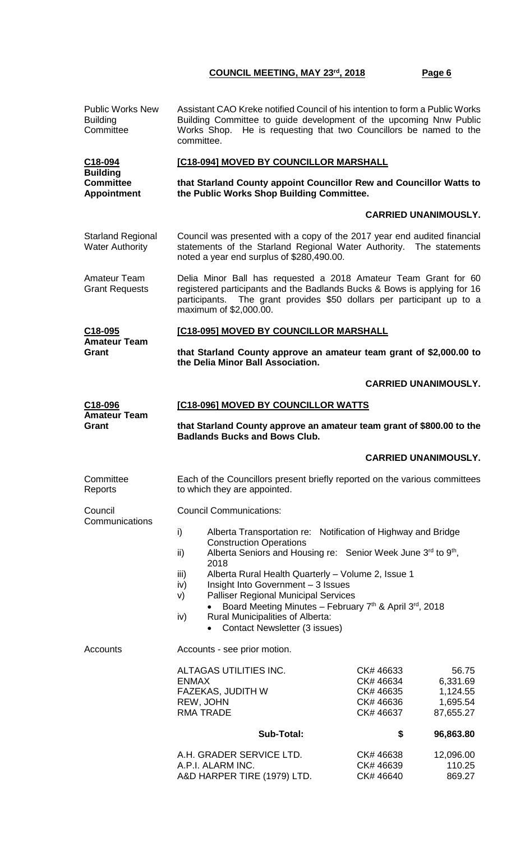| <b>Public Works New</b><br><b>Building</b><br>Committee   | Assistant CAO Kreke notified Council of his intention to form a Public Works<br>Building Committee to guide development of the upcoming Nnw Public<br>Works Shop. He is requesting that two Councillors be named to the<br>committee.          |                                                                                                                         |  |
|-----------------------------------------------------------|------------------------------------------------------------------------------------------------------------------------------------------------------------------------------------------------------------------------------------------------|-------------------------------------------------------------------------------------------------------------------------|--|
| C18-094                                                   | [C18-094] MOVED BY COUNCILLOR MARSHALL                                                                                                                                                                                                         |                                                                                                                         |  |
| <b>Building</b><br><b>Committee</b><br><b>Appointment</b> | that Starland County appoint Councillor Rew and Councillor Watts to<br>the Public Works Shop Building Committee.                                                                                                                               |                                                                                                                         |  |
|                                                           |                                                                                                                                                                                                                                                | <b>CARRIED UNANIMOUSLY.</b>                                                                                             |  |
| <b>Starland Regional</b><br><b>Water Authority</b>        | Council was presented with a copy of the 2017 year end audited financial<br>statements of the Starland Regional Water Authority. The statements<br>noted a year end surplus of \$280,490.00.                                                   |                                                                                                                         |  |
| Amateur Team<br><b>Grant Requests</b>                     | Delia Minor Ball has requested a 2018 Amateur Team Grant for 60<br>registered participants and the Badlands Bucks & Bows is applying for 16<br>participants. The grant provides \$50 dollars per participant up to a<br>maximum of \$2,000.00. |                                                                                                                         |  |
| C18-095<br><b>Amateur Team</b>                            | [C18-095] MOVED BY COUNCILLOR MARSHALL                                                                                                                                                                                                         |                                                                                                                         |  |
| Grant                                                     | that Starland County approve an amateur team grant of \$2,000.00 to<br>the Delia Minor Ball Association.                                                                                                                                       |                                                                                                                         |  |
|                                                           |                                                                                                                                                                                                                                                | <b>CARRIED UNANIMOUSLY.</b>                                                                                             |  |
| <u>C18-096</u><br><b>Amateur Team</b>                     | [C18-096] MOVED BY COUNCILLOR WATTS                                                                                                                                                                                                            |                                                                                                                         |  |
| Grant                                                     | that Starland County approve an amateur team grant of \$800.00 to the<br><b>Badlands Bucks and Bows Club.</b>                                                                                                                                  |                                                                                                                         |  |
|                                                           |                                                                                                                                                                                                                                                |                                                                                                                         |  |
|                                                           |                                                                                                                                                                                                                                                | <b>CARRIED UNANIMOUSLY.</b>                                                                                             |  |
| Committee<br>Reports                                      | Each of the Councillors present briefly reported on the various committees<br>to which they are appointed.                                                                                                                                     |                                                                                                                         |  |
| Council                                                   | <b>Council Communications:</b>                                                                                                                                                                                                                 |                                                                                                                         |  |
| Communications                                            | Alberta Transportation re: Notification of Highway and Bridge<br>i)<br><b>Construction Operations</b>                                                                                                                                          |                                                                                                                         |  |
|                                                           | Alberta Seniors and Housing re: Senior Week June 3rd to 9th,<br>ii)<br>2018                                                                                                                                                                    |                                                                                                                         |  |
|                                                           | Alberta Rural Health Quarterly - Volume 2, Issue 1<br>iii)<br>Insight Into Government - 3 Issues<br>iv)<br><b>Palliser Regional Municipal Services</b><br>V)                                                                                   |                                                                                                                         |  |
|                                                           | Board Meeting Minutes - February 7th & April 3rd, 2018<br>Rural Municipalities of Alberta:<br>iv)<br>Contact Newsletter (3 issues)                                                                                                             |                                                                                                                         |  |
| Accounts                                                  | Accounts - see prior motion.                                                                                                                                                                                                                   |                                                                                                                         |  |
|                                                           | ALTAGAS UTILITIES INC.<br><b>ENMAX</b><br><b>FAZEKAS, JUDITH W</b><br>REW, JOHN<br><b>RMA TRADE</b>                                                                                                                                            | CK# 46633<br>56.75<br>CK# 46634<br>6,331.69<br>1,124.55<br>CK# 46635<br>1,695.54<br>CK# 46636<br>CK# 46637<br>87,655.27 |  |
|                                                           | <b>Sub-Total:</b>                                                                                                                                                                                                                              | \$<br>96,863.80                                                                                                         |  |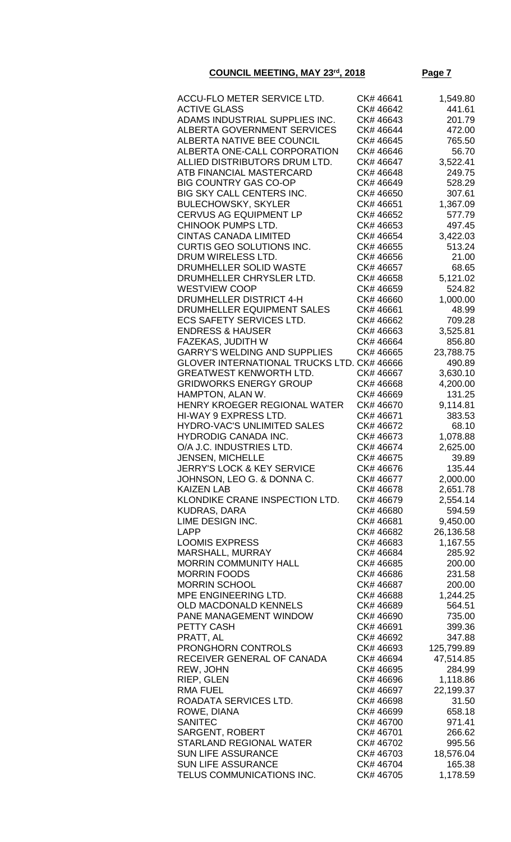| ACCU-FLO METER SERVICE LTD.                | CK# 46641 | 1,549.80   |
|--------------------------------------------|-----------|------------|
| <b>ACTIVE GLASS</b>                        | CK# 46642 | 441.61     |
| ADAMS INDUSTRIAL SUPPLIES INC.             | CK# 46643 | 201.79     |
| <b>ALBERTA GOVERNMENT SERVICES</b>         | CK# 46644 | 472.00     |
| <b>ALBERTA NATIVE BEE COUNCIL</b>          | CK# 46645 | 765.50     |
| ALBERTA ONE-CALL CORPORATION               | CK# 46646 | 56.70      |
| ALLIED DISTRIBUTORS DRUM LTD.              | CK# 46647 | 3,522.41   |
| ATB FINANCIAL MASTERCARD                   | CK# 46648 | 249.75     |
| <b>BIG COUNTRY GAS CO-OP</b>               |           |            |
|                                            | CK# 46649 | 528.29     |
| <b>BIG SKY CALL CENTERS INC.</b>           | CK# 46650 | 307.61     |
| <b>BULECHOWSKY, SKYLER</b>                 | CK# 46651 | 1,367.09   |
| <b>CERVUS AG EQUIPMENT LP</b>              | CK# 46652 | 577.79     |
| CHINOOK PUMPS LTD.                         | CK# 46653 | 497.45     |
| <b>CINTAS CANADA LIMITED</b>               | CK# 46654 | 3,422.03   |
| CURTIS GEO SOLUTIONS INC.                  | CK# 46655 | 513.24     |
| DRUM WIRELESS LTD.                         | CK# 46656 | 21.00      |
| DRUMHELLER SOLID WASTE                     | CK# 46657 | 68.65      |
| DRUMHELLER CHRYSLER LTD.                   | CK# 46658 | 5,121.02   |
| <b>WESTVIEW COOP</b>                       | CK# 46659 | 524.82     |
| <b>DRUMHELLER DISTRICT 4-H</b>             | CK# 46660 | 1,000.00   |
| DRUMHELLER EQUIPMENT SALES                 | CK# 46661 | 48.99      |
| <b>ECS SAFETY SERVICES LTD.</b>            | CK# 46662 | 709.28     |
| <b>ENDRESS &amp; HAUSER</b>                | CK# 46663 | 3,525.81   |
| <b>FAZEKAS, JUDITH W</b>                   | CK# 46664 | 856.80     |
| <b>GARRY'S WELDING AND SUPPLIES</b>        | CK# 46665 | 23,788.75  |
| GLOVER INTERNATIONAL TRUCKS LTD. CK# 46666 |           | 490.89     |
| <b>GREATWEST KENWORTH LTD.</b>             | CK# 46667 | 3,630.10   |
| <b>GRIDWORKS ENERGY GROUP</b>              | CK# 46668 | 4,200.00   |
| HAMPTON, ALAN W.                           | CK# 46669 | 131.25     |
| HENRY KROEGER REGIONAL WATER               | CK# 46670 | 9,114.81   |
| HI-WAY 9 EXPRESS LTD.                      | CK# 46671 | 383.53     |
| HYDRO-VAC'S UNLIMITED SALES                | CK# 46672 | 68.10      |
| <b>HYDRODIG CANADA INC.</b>                | CK# 46673 | 1,078.88   |
| O/A J.C. INDUSTRIES LTD.                   | CK# 46674 | 2,625.00   |
| <b>JENSEN, MICHELLE</b>                    | CK# 46675 | 39.89      |
| <b>JERRY'S LOCK &amp; KEY SERVICE</b>      | CK# 46676 | 135.44     |
| JOHNSON, LEO G. & DONNA C.                 | CK# 46677 | 2,000.00   |
| <b>KAIZEN LAB</b>                          | CK# 46678 | 2,651.78   |
| KLONDIKE CRANE INSPECTION LTD.             | CK# 46679 | 2,554.14   |
| <b>KUDRAS, DARA</b>                        | CK# 46680 | 594.59     |
| LIME DESIGN INC.                           | CK# 46681 | 9,450.00   |
| <b>LAPP</b>                                | CK# 46682 | 26,136.58  |
| <b>LOOMIS EXPRESS</b>                      | CK# 46683 | 1,167.55   |
| MARSHALL, MURRAY                           | CK# 46684 |            |
|                                            | CK# 46685 | 285.92     |
| <b>MORRIN COMMUNITY HALL</b>               |           | 200.00     |
| <b>MORRIN FOODS</b>                        | CK# 46686 | 231.58     |
| <b>MORRIN SCHOOL</b>                       | CK# 46687 | 200.00     |
| MPE ENGINEERING LTD.                       | CK# 46688 | 1,244.25   |
| <b>OLD MACDONALD KENNELS</b>               | CK# 46689 | 564.51     |
| PANE MANAGEMENT WINDOW                     | CK# 46690 | 735.00     |
| PETTY CASH                                 | CK# 46691 | 399.36     |
| PRATT, AL                                  | CK# 46692 | 347.88     |
| <b>PRONGHORN CONTROLS</b>                  | CK# 46693 | 125,799.89 |
| RECEIVER GENERAL OF CANADA                 | CK# 46694 | 47,514.85  |
| REW, JOHN                                  | CK# 46695 | 284.99     |
| RIEP, GLEN                                 | CK# 46696 | 1,118.86   |
| <b>RMA FUEL</b>                            | CK# 46697 | 22,199.37  |
| ROADATA SERVICES LTD.                      | CK# 46698 | 31.50      |
| ROWE, DIANA                                | CK# 46699 | 658.18     |
| <b>SANITEC</b>                             | CK# 46700 | 971.41     |
| <b>SARGENT, ROBERT</b>                     | CK# 46701 | 266.62     |
| <b>STARLAND REGIONAL WATER</b>             | CK# 46702 | 995.56     |
| <b>SUN LIFE ASSURANCE</b>                  | CK# 46703 | 18,576.04  |
| <b>SUN LIFE ASSURANCE</b>                  | CK# 46704 | 165.38     |
| TELUS COMMUNICATIONS INC.                  | CK# 46705 | 1,178.59   |